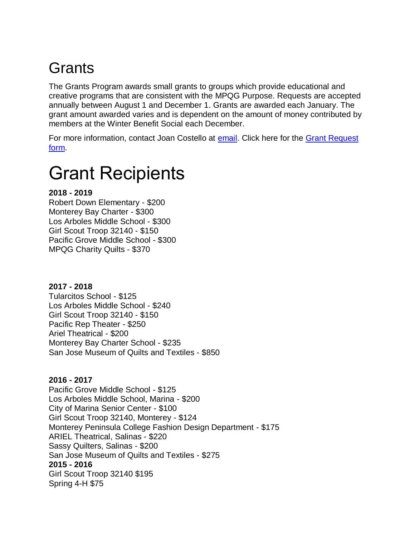## **Grants**

The Grants Program awards small grants to groups which provide educational and creative programs that are consistent with the MPQG Purpose. Requests are accepted annually between August 1 and December 1. Grants are awarded each January. The grant amount awarded varies and is dependent on the amount of money contributed by members at the Winter Benefit Social each December.

For more information, contact Joan Costello at [email.](mailto:grants@mpqg.org) Click here for the [Grant Request](https://media.rainpos.com/5018/mpqg_grant_request_form_nov19.pdf)  [form.](https://media.rainpos.com/5018/mpqg_grant_request_form_nov19.pdf)

# Grant Recipients

### **2018 - 2019**

Robert Down Elementary - \$200 Monterey Bay Charter - \$300 Los Arboles Middle School - \$300 Girl Scout Troop 32140 - \$150 Pacific Grove Middle School - \$300 MPQG Charity Quilts - \$370

#### **2017 - 2018**

Tularcitos School - \$125 Los Arboles Middle School - \$240 Girl Scout Troop 32140 - \$150 Pacific Rep Theater - \$250 Ariel Theatrical - \$200 Monterey Bay Charter School - \$235 San Jose Museum of Quilts and Textiles - \$850

#### **2016 - 2017**

Pacific Grove Middle School - \$125 Los Arboles Middle School, Marina - \$200 City of Marina Senior Center - \$100 Girl Scout Troop 32140, Monterey - \$124 Monterey Peninsula College Fashion Design Department - \$175 ARIEL Theatrical, Salinas - \$220 Sassy Quilters, Salinas - \$200 San Jose Museum of Quilts and Textiles - \$275 **2015 - 2016** Girl Scout Troop 32140 \$195 Spring 4-H \$75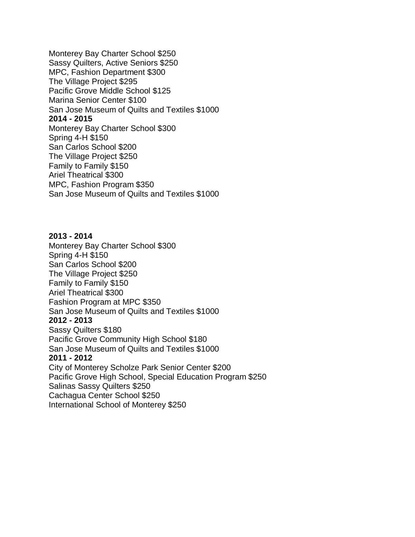Monterey Bay Charter School \$250 Sassy Quilters, Active Seniors \$250 MPC, Fashion Department \$300 The Village Project \$295 Pacific Grove Middle School \$125 Marina Senior Center \$100 San Jose Museum of Quilts and Textiles \$1000 **2014 - 2015** Monterey Bay Charter School \$300 Spring 4-H \$150 San Carlos School \$200 The Village Project \$250 Family to Family \$150 Ariel Theatrical \$300 MPC, Fashion Program \$350 San Jose Museum of Quilts and Textiles \$1000

#### **2013 - 2014**

Monterey Bay Charter School \$300 Spring 4-H \$150 San Carlos School \$200 The Village Project \$250 Family to Family \$150 Ariel Theatrical \$300 Fashion Program at MPC \$350 San Jose Museum of Quilts and Textiles \$1000 **2012 - 2013** Sassy Quilters \$180 Pacific Grove Community High School \$180 San Jose Museum of Quilts and Textiles \$1000 **2011 - 2012** City of Monterey Scholze Park Senior Center \$200 Pacific Grove High School, Special Education Program \$250 Salinas Sassy Quilters \$250 Cachagua Center School \$250 International School of Monterey \$250